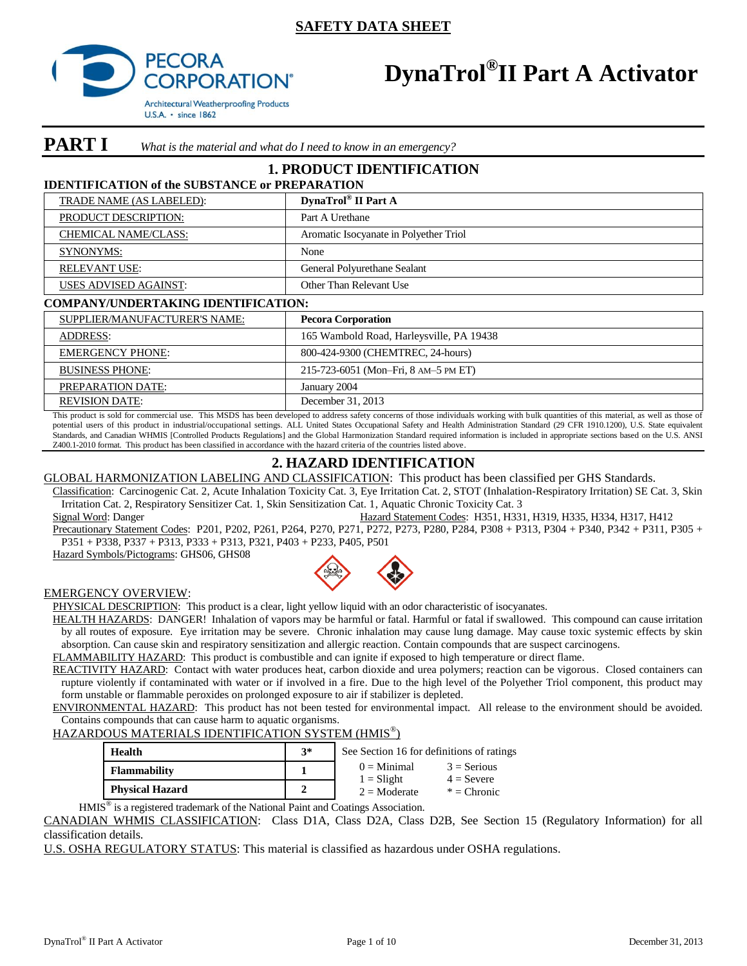

# **DynaTrol® II Part A Activator**

**PART I** What is the material and what do I need to know in an emergency?

# **1. PRODUCT IDENTIFICATION**

### **IDENTIFICATION of the SUBSTANCE or PREPARATION**

| DynaTrol® II Part A                    |
|----------------------------------------|
| Part A Urethane                        |
| Aromatic Isocyanate in Polyether Triol |
| None                                   |
| General Polyurethane Sealant           |
| Other Than Relevant Use                |
|                                        |

#### **COMPANY/UNDERTAKING IDENTIFICATION:**

| SUPPLIER/MANUFACTURER'S NAME: | <b>Pecora Corporation</b>                |
|-------------------------------|------------------------------------------|
| ADDRESS:                      | 165 Wambold Road, Harleysville, PA 19438 |
| <b>EMERGENCY PHONE:</b>       | 800-424-9300 (CHEMTREC, 24-hours)        |
| <b>BUSINESS PHONE:</b>        | 215-723-6051 (Mon-Fri, 8 AM-5 PM ET)     |
| <b>PREPARATION DATE:</b>      | January 2004                             |
| <b>REVISION DATE:</b>         | December 31, 2013                        |

This product is sold for commercial use. This MSDS has been developed to address safety concerns of those individuals working with bulk quantities of this material, as well as those of potential users of this product in industrial/occupational settings. ALL United States Occupational Safety and Health Administration Standard (29 CFR 1910.1200), U.S. State equivalent Standards, and Canadian WHMIS [Controlled Products Regulations] and the Global Harmonization Standard required information is included in appropriate sections based on the U.S. ANSI Z400.1-2010 format. This product has been classified in accordance with the hazard criteria of the countries listed above.

# **2. HAZARD IDENTIFICATION**

GLOBAL HARMONIZATION LABELING AND CLASSIFICATION: This product has been classified per GHS Standards.

Classification: Carcinogenic Cat. 2, Acute Inhalation Toxicity Cat. 3, Eye Irritation Cat. 2, STOT (Inhalation-Respiratory Irritation) SE Cat. 3, Skin Irritation Cat. 2, Respiratory Sensitizer Cat. 1, Skin Sensitization Cat. 1, Aquatic Chronic Toxicity Cat. 3

Signal Word: Danger Hazard Statement Codes: H351, H331, H319, H335, H334, H317, H412 Precautionary Statement Codes: P201, P202, P261, P264, P270, P271, P272, P273, P280, P284, P308 + P313, P304 + P340, P342 + P311, P305 + P351 + P338, P337 + P313, P333 + P313, P321, P403 + P233, P405, P501

Hazard Symbols/Pictograms: GHS06, GHS08



#### EMERGENCY OVERVIEW:

PHYSICAL DESCRIPTION: This product is a clear, light yellow liquid with an odor characteristic of isocyanates.

HEALTH HAZARDS: DANGER! Inhalation of vapors may be harmful or fatal. Harmful or fatal if swallowed. This compound can cause irritation by all routes of exposure. Eye irritation may be severe. Chronic inhalation may cause lung damage. May cause toxic systemic effects by skin absorption. Can cause skin and respiratory sensitization and allergic reaction. Contain compounds that are suspect carcinogens. FLAMMABILITY HAZARD: This product is combustible and can ignite if exposed to high temperature or direct flame.

REACTIVITY HAZARD: Contact with water produces heat, carbon dioxide and urea polymers; reaction can be vigorous. Closed containers can

rupture violently if contaminated with water or if involved in a fire. Due to the high level of the Polyether Triol component, this product may form unstable or flammable peroxides on prolonged exposure to air if stabilizer is depleted.

ENVIRONMENTAL HAZARD: This product has not been tested for environmental impact. All release to the environment should be avoided. Contains compounds that can cause harm to aquatic organisms.

### HAZARDOUS MATERIALS IDENTIFICATION SYSTEM (HMIS® )

| Health                 | $3*$ | See Section 16 for definitions of ratings |                               |  |  |
|------------------------|------|-------------------------------------------|-------------------------------|--|--|
| <b>Flammability</b>    |      | $0 \equiv$ Minimal                        | $3$ = Serious<br>$4 =$ Severe |  |  |
| <b>Physical Hazard</b> | σ    | $1 =$ Slight<br>$2 \equiv$ Moderate       | $*$ = Chronic                 |  |  |

HMIS<sup>®</sup> is a registered trademark of the National Paint and Coatings Association.

CANADIAN WHMIS CLASSIFICATION: Class D1A, Class D2A, Class D2B, See Section 15 (Regulatory Information) for all classification details.

U.S. OSHA REGULATORY STATUS: This material is classified as hazardous under OSHA regulations.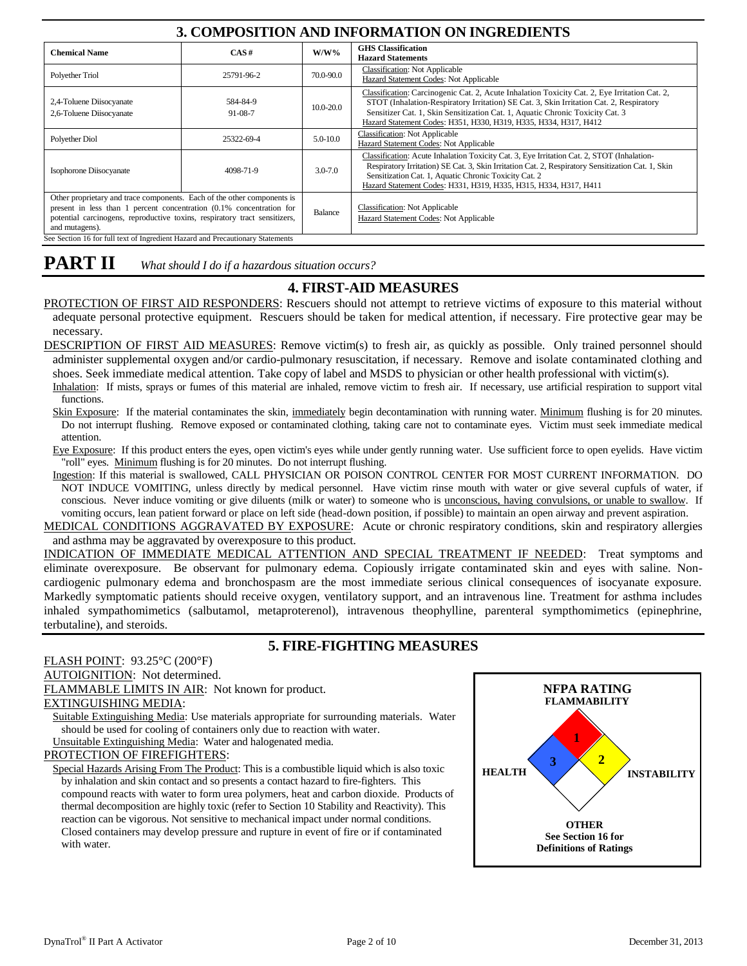# **3. COMPOSITION AND INFORMATION ON INGREDIENTS**

| <b>Chemical Name</b>                                                                                                                                                                                                                            | CAS#                      | $W/W\%$       | <b>GHS</b> Classification<br><b>Hazard Statements</b>                                                                                                                                                                                                                                                                                         |  |  |
|-------------------------------------------------------------------------------------------------------------------------------------------------------------------------------------------------------------------------------------------------|---------------------------|---------------|-----------------------------------------------------------------------------------------------------------------------------------------------------------------------------------------------------------------------------------------------------------------------------------------------------------------------------------------------|--|--|
| Polyether Triol                                                                                                                                                                                                                                 | 25791-96-2                | 70.0-90.0     | <b>Classification: Not Applicable</b><br>Hazard Statement Codes: Not Applicable                                                                                                                                                                                                                                                               |  |  |
| 2,4-Toluene Diisocyanate<br>2,6-Toluene Diisocyanate                                                                                                                                                                                            | 584-84-9<br>$91 - 08 - 7$ | $10.0 - 20.0$ | Classification: Carcinogenic Cat. 2, Acute Inhalation Toxicity Cat. 2, Eye Irritation Cat. 2,<br>STOT (Inhalation-Respiratory Irritation) SE Cat. 3, Skin Irritation Cat. 2, Respiratory<br>Sensitizer Cat. 1, Skin Sensitization Cat. 1, Aquatic Chronic Toxicity Cat. 3<br>Hazard Statement Codes: H351, H330, H319, H335, H334, H317, H412 |  |  |
| Polyether Diol                                                                                                                                                                                                                                  | 25322-69-4                | 5.0-10.0      | <b>Classification: Not Applicable</b><br>Hazard Statement Codes: Not Applicable                                                                                                                                                                                                                                                               |  |  |
| Isophorone Diisocyanate                                                                                                                                                                                                                         | 4098-71-9                 | $3.0 - 7.0$   | Classification: Acute Inhalation Toxicity Cat. 3, Eye Irritation Cat. 2, STOT (Inhalation-<br>Respiratory Irritation) SE Cat. 3, Skin Irritation Cat. 2, Respiratory Sensitization Cat. 1, Skin<br>Sensitization Cat. 1, Aquatic Chronic Toxicity Cat. 2<br>Hazard Statement Codes: H331, H319, H335, H315, H334, H317, H411                  |  |  |
| Other proprietary and trace components. Each of the other components is<br>present in less than 1 percent concentration (0.1% concentration for<br>potential carcinogens, reproductive toxins, respiratory tract sensitizers,<br>and mutagens). |                           | Balance       | <b>Classification: Not Applicable</b><br>Hazard Statement Codes: Not Applicable                                                                                                                                                                                                                                                               |  |  |
| See Section 16 for full text of Ingredient Hazard and Precautionary Statements                                                                                                                                                                  |                           |               |                                                                                                                                                                                                                                                                                                                                               |  |  |

# **PART II** *What should I do if a hazardous situation occurs?*

# **4. FIRST-AID MEASURES**

PROTECTION OF FIRST AID RESPONDERS: Rescuers should not attempt to retrieve victims of exposure to this material without adequate personal protective equipment. Rescuers should be taken for medical attention, if necessary. Fire protective gear may be necessary.

DESCRIPTION OF FIRST AID MEASURES: Remove victim(s) to fresh air, as quickly as possible. Only trained personnel should administer supplemental oxygen and/or cardio-pulmonary resuscitation, if necessary. Remove and isolate contaminated clothing and shoes. Seek immediate medical attention. Take copy of label and MSDS to physician or other health professional with victim(s).

Inhalation: If mists, sprays or fumes of this material are inhaled, remove victim to fresh air. If necessary, use artificial respiration to support vital functions.

Skin Exposure: If the material contaminates the skin, immediately begin decontamination with running water. Minimum flushing is for 20 minutes. Do not interrupt flushing. Remove exposed or contaminated clothing, taking care not to contaminate eyes. Victim must seek immediate medical attention.

Eye Exposure: If this product enters the eyes, open victim's eyes while under gently running water. Use sufficient force to open eyelids. Have victim "roll" eyes. Minimum flushing is for 20 minutes. Do not interrupt flushing.

Ingestion: If this material is swallowed, CALL PHYSICIAN OR POISON CONTROL CENTER FOR MOST CURRENT INFORMATION. DO NOT INDUCE VOMITING, unless directly by medical personnel. Have victim rinse mouth with water or give several cupfuls of water, if conscious. Never induce vomiting or give diluents (milk or water) to someone who is unconscious, having convulsions, or unable to swallow. If vomiting occurs, lean patient forward or place on left side (head-down position, if possible) to maintain an open airway and prevent aspiration.

MEDICAL CONDITIONS AGGRAVATED BY EXPOSURE: Acute or chronic respiratory conditions, skin and respiratory allergies and asthma may be aggravated by overexposure to this product.

INDICATION OF IMMEDIATE MEDICAL ATTENTION AND SPECIAL TREATMENT IF NEEDED: Treat symptoms and eliminate overexposure. Be observant for pulmonary edema. Copiously irrigate contaminated skin and eyes with saline. Noncardiogenic pulmonary edema and bronchospasm are the most immediate serious clinical consequences of isocyanate exposure. Markedly symptomatic patients should receive oxygen, ventilatory support, and an intravenous line. Treatment for asthma includes inhaled sympathomimetics (salbutamol, metaproterenol), intravenous theophylline, parenteral sympthomimetics (epinephrine, terbutaline), and steroids.

# **5. FIRE-FIGHTING MEASURES**

FLASH POINT: 93.25°C (200°F)

AUTOIGNITION: Not determined.

FLAMMABLE LIMITS IN AIR: Not known for product.

### EXTINGUISHING MEDIA:

Suitable Extinguishing Media: Use materials appropriate for surrounding materials. Water should be used for cooling of containers only due to reaction with water.

Unsuitable Extinguishing Media: Water and halogenated media.

### PROTECTION OF FIREFIGHTERS:

Special Hazards Arising From The Product: This is a combustible liquid which is also toxic by inhalation and skin contact and so presents a contact hazard to fire-fighters. This compound reacts with water to form urea polymers, heat and carbon dioxide. Products of thermal decomposition are highly toxic (refer to Section 10 Stability and Reactivity). This reaction can be vigorous. Not sensitive to mechanical impact under normal conditions. Closed containers may develop pressure and rupture in event of fire or if contaminated with water.

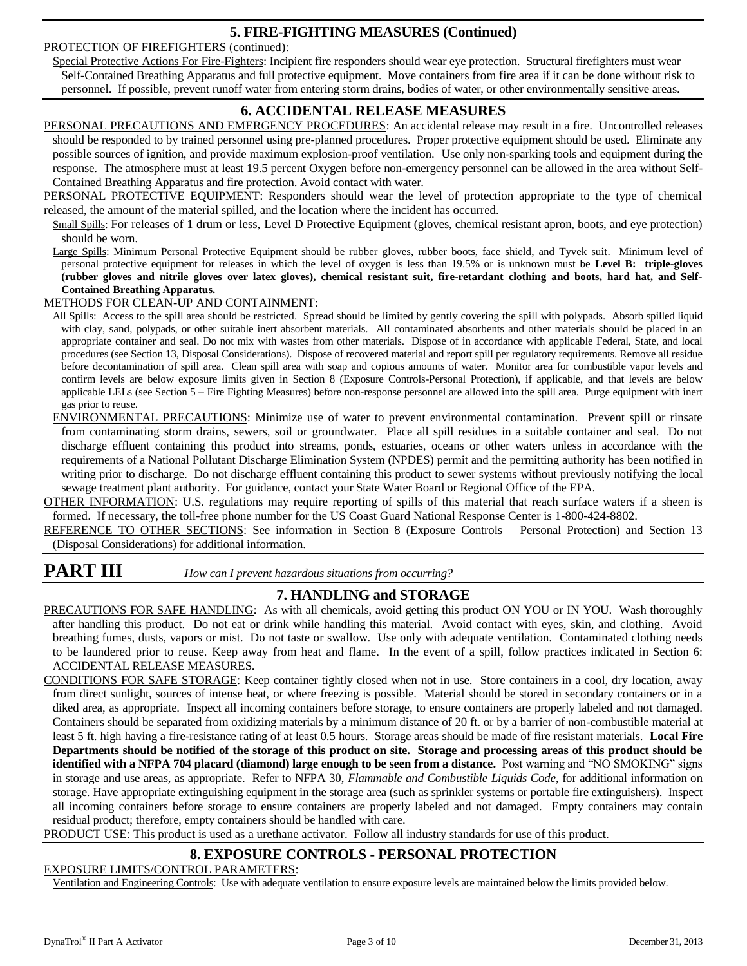# **5. FIRE-FIGHTING MEASURES (Continued)**

#### PROTECTION OF FIREFIGHTERS (continued):

Special Protective Actions For Fire-Fighters: Incipient fire responders should wear eye protection. Structural firefighters must wear Self-Contained Breathing Apparatus and full protective equipment. Move containers from fire area if it can be done without risk to personnel. If possible, prevent runoff water from entering storm drains, bodies of water, or other environmentally sensitive areas.

# **6. ACCIDENTAL RELEASE MEASURES**

PERSONAL PRECAUTIONS AND EMERGENCY PROCEDURES: An accidental release may result in a fire. Uncontrolled releases should be responded to by trained personnel using pre-planned procedures. Proper protective equipment should be used. Eliminate any possible sources of ignition, and provide maximum explosion-proof ventilation. Use only non-sparking tools and equipment during the response. The atmosphere must at least 19.5 percent Oxygen before non-emergency personnel can be allowed in the area without Self-Contained Breathing Apparatus and fire protection. Avoid contact with water.

PERSONAL PROTECTIVE EQUIPMENT: Responders should wear the level of protection appropriate to the type of chemical released, the amount of the material spilled, and the location where the incident has occurred.

Small Spills: For releases of 1 drum or less, Level D Protective Equipment (gloves, chemical resistant apron, boots, and eye protection) should be worn.

Large Spills: Minimum Personal Protective Equipment should be rubber gloves, rubber boots, face shield, and Tyvek suit. Minimum level of personal protective equipment for releases in which the level of oxygen is less than 19.5% or is unknown must be **Level B: triple-gloves (rubber gloves and nitrile gloves over latex gloves), chemical resistant suit, fire-retardant clothing and boots, hard hat, and Self-Contained Breathing Apparatus.**

#### METHODS FOR CLEAN-UP AND CONTAINMENT:

All Spills: Access to the spill area should be restricted. Spread should be limited by gently covering the spill with polypads. Absorb spilled liquid with clay, sand, polypads, or other suitable inert absorbent materials. All contaminated absorbents and other materials should be placed in an appropriate container and seal. Do not mix with wastes from other materials. Dispose of in accordance with applicable Federal, State, and local procedures (see Section 13, Disposal Considerations). Dispose of recovered material and report spill per regulatory requirements. Remove all residue before decontamination of spill area. Clean spill area with soap and copious amounts of water. Monitor area for combustible vapor levels and confirm levels are below exposure limits given in Section 8 (Exposure Controls-Personal Protection), if applicable, and that levels are below applicable LELs (see Section 5 – Fire Fighting Measures) before non-response personnel are allowed into the spill area. Purge equipment with inert gas prior to reuse.

ENVIRONMENTAL PRECAUTIONS: Minimize use of water to prevent environmental contamination. Prevent spill or rinsate from contaminating storm drains, sewers, soil or groundwater. Place all spill residues in a suitable container and seal. Do not discharge effluent containing this product into streams, ponds, estuaries, oceans or other waters unless in accordance with the requirements of a National Pollutant Discharge Elimination System (NPDES) permit and the permitting authority has been notified in writing prior to discharge. Do not discharge effluent containing this product to sewer systems without previously notifying the local sewage treatment plant authority. For guidance, contact your State Water Board or Regional Office of the EPA.

OTHER INFORMATION: U.S. regulations may require reporting of spills of this material that reach surface waters if a sheen is formed. If necessary, the toll-free phone number for the US Coast Guard National Response Center is 1-800-424-8802.

REFERENCE TO OTHER SECTIONS: See information in Section 8 (Exposure Controls – Personal Protection) and Section 13 (Disposal Considerations) for additional information.

# **PART III** *How can I prevent hazardous situations from occurring?*

## **7. HANDLING and STORAGE**

PRECAUTIONS FOR SAFE HANDLING: As with all chemicals, avoid getting this product ON YOU or IN YOU. Wash thoroughly after handling this product. Do not eat or drink while handling this material. Avoid contact with eyes, skin, and clothing. Avoid breathing fumes, dusts, vapors or mist. Do not taste or swallow. Use only with adequate ventilation. Contaminated clothing needs to be laundered prior to reuse. Keep away from heat and flame. In the event of a spill, follow practices indicated in Section 6: ACCIDENTAL RELEASE MEASURES.

CONDITIONS FOR SAFE STORAGE: Keep container tightly closed when not in use. Store containers in a cool, dry location, away from direct sunlight, sources of intense heat, or where freezing is possible. Material should be stored in secondary containers or in a diked area, as appropriate. Inspect all incoming containers before storage, to ensure containers are properly labeled and not damaged. Containers should be separated from oxidizing materials by a minimum distance of 20 ft. or by a barrier of non-combustible material at least 5 ft. high having a fire-resistance rating of at least 0.5 hours. Storage areas should be made of fire resistant materials. **Local Fire Departments should be notified of the storage of this product on site. Storage and processing areas of this product should be identified with a NFPA 704 placard (diamond) large enough to be seen from a distance.** Post warning and "NO SMOKING" signs in storage and use areas, as appropriate. Refer to NFPA 30, *Flammable and Combustible Liquids Code*, for additional information on storage. Have appropriate extinguishing equipment in the storage area (such as sprinkler systems or portable fire extinguishers). Inspect all incoming containers before storage to ensure containers are properly labeled and not damaged. Empty containers may contain residual product; therefore, empty containers should be handled with care.

PRODUCT USE: This product is used as a urethane activator. Follow all industry standards for use of this product.

# **8. EXPOSURE CONTROLS - PERSONAL PROTECTION**

#### EXPOSURE LIMITS/CONTROL PARAMETERS:

Ventilation and Engineering Controls: Use with adequate ventilation to ensure exposure levels are maintained below the limits provided below.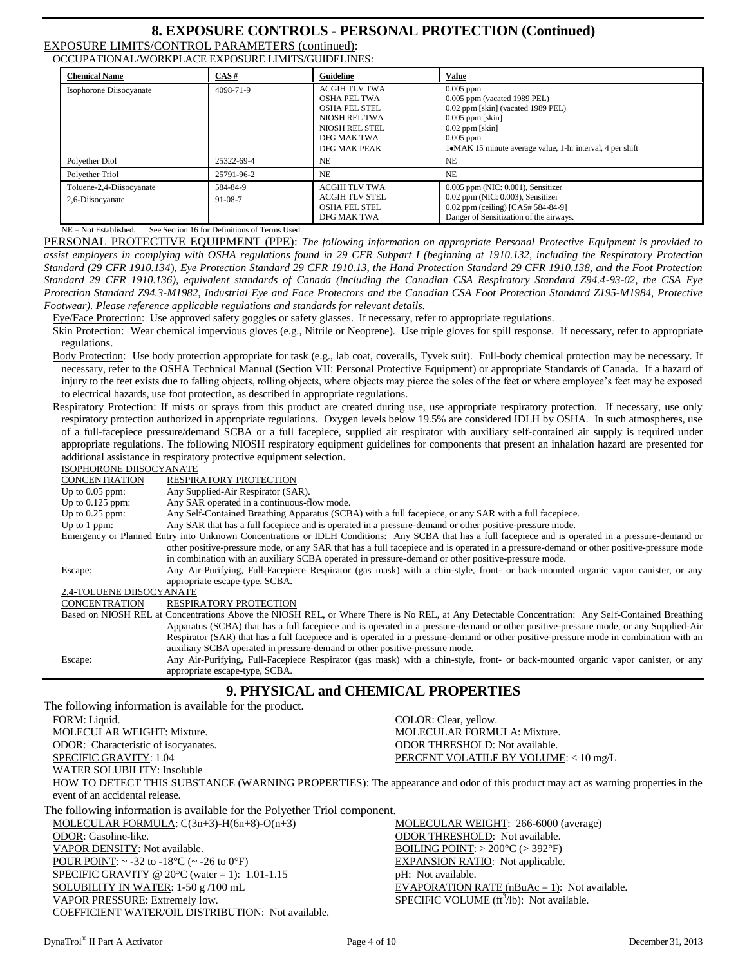# **8. EXPOSURE CONTROLS - PERSONAL PROTECTION (Continued)**

EXPOSURE LIMITS/CONTROL PARAMETERS (continued): OCCUPATIONAL/WORKPLACE EXPOSURE LIMITS/GUIDELINES:

| occorring who would bright bookb blinting octobbilities. |                           |                                                                                                                                |                                                                                                                                                                                                            |  |  |  |  |
|----------------------------------------------------------|---------------------------|--------------------------------------------------------------------------------------------------------------------------------|------------------------------------------------------------------------------------------------------------------------------------------------------------------------------------------------------------|--|--|--|--|
| <b>Chemical Name</b>                                     | CAS#                      | Guideline                                                                                                                      | <b>Value</b>                                                                                                                                                                                               |  |  |  |  |
| Isophorone Diisocyanate                                  | 4098-71-9                 | <b>ACGIH TLV TWA</b><br>OSHA PEL TWA<br><b>OSHA PEL STEL</b><br>NIOSH REL TWA<br>NIOSH REL STEL<br>DFG MAK TWA<br>DFG MAK PEAK | $0.005$ ppm<br>$0.005$ ppm (vacated 1989 PEL)<br>0.02 ppm [skin] (vacated 1989 PEL)<br>$0.005$ ppm [skin]<br>$0.02$ ppm [skin]<br>$0.005$ ppm<br>1•MAK 15 minute average value, 1-hr interval, 4 per shift |  |  |  |  |
| Polyether Diol                                           | 25322-69-4                | <b>NE</b>                                                                                                                      | N <sub>E</sub>                                                                                                                                                                                             |  |  |  |  |
| Polyether Triol                                          | 25791-96-2                | NE                                                                                                                             | N <sub>E</sub>                                                                                                                                                                                             |  |  |  |  |
| Toluene-2,4-Diisocyanate<br>2,6-Diisocyanate             | 584-84-9<br>$91 - 08 - 7$ | ACGIH TLV TWA<br><b>ACGIH TLV STEL</b><br><b>OSHA PEL STEL</b><br>DFG MAK TWA                                                  | $0.005$ ppm (NIC: $0.001$ ), Sensitizer<br>$0.02$ ppm (NIC: $0.003$ ), Sensitizer<br>$0.02$ ppm (ceiling) [CAS# 584-84-9]<br>Danger of Sensitization of the airways.                                       |  |  |  |  |

NE = Not Established. See Section 16 for Definitions of Terms Used.

PERSONAL PROTECTIVE EQUIPMENT (PPE): *The following information on appropriate Personal Protective Equipment is provided to assist employers in complying with OSHA regulations found in 29 CFR Subpart I (beginning at 1910.132, including the Respiratory Protection Standard (29 CFR 1910.134*), *Eye Protection Standard 29 CFR 1910.13, the Hand Protection Standard 29 CFR 1910.138, and the Foot Protection Standard 29 CFR 1910.136), equivalent standards of Canada (including the Canadian CSA Respiratory Standard Z94.4-93-02, the CSA Eye Protection Standard Z94.3-M1982*, *Industrial Eye and Face Protectors and the Canadian CSA Foot Protection Standard Z195-M1984, Protective Footwear). Please reference applicable regulations and standards for relevant details.*

Eye/Face Protection: Use approved safety goggles or safety glasses. If necessary, refer to appropriate regulations.

Skin Protection: Wear chemical impervious gloves (e.g., Nitrile or Neoprene). Use triple gloves for spill response. If necessary, refer to appropriate regulations.

Body Protection: Use body protection appropriate for task (e.g., lab coat, coveralls, Tyvek suit). Full-body chemical protection may be necessary. If necessary, refer to the OSHA Technical Manual (Section VII: Personal Protective Equipment) or appropriate Standards of Canada. If a hazard of injury to the feet exists due to falling objects, rolling objects, where objects may pierce the soles of the feet or where employee's feet may be exposed to electrical hazards, use foot protection, as described in appropriate regulations.

Respiratory Protection: If mists or sprays from this product are created during use, use appropriate respiratory protection. If necessary, use only respiratory protection authorized in appropriate regulations. Oxygen levels below 19.5% are considered IDLH by OSHA. In such atmospheres, use of a full-facepiece pressure/demand SCBA or a full facepiece, supplied air respirator with auxiliary self-contained air supply is required under appropriate regulations. The following NIOSH respiratory equipment guidelines for components that present an inhalation hazard are presented for additional assistance in respiratory protective equipment selection.

ISOPHORONE DIISOCYANATE

| CONCENTRATION            | <b>RESPIRATORY PROTECTION</b>                                                                                                                         |
|--------------------------|-------------------------------------------------------------------------------------------------------------------------------------------------------|
| Up to $0.05$ ppm:        | Any Supplied-Air Respirator (SAR).                                                                                                                    |
| Up to $0.125$ ppm:       | Any SAR operated in a continuous-flow mode.                                                                                                           |
| Up to $0.25$ ppm:        | Any Self-Contained Breathing Apparatus (SCBA) with a full facepiece, or any SAR with a full facepiece.                                                |
| Up to 1 ppm:             | Any SAR that has a full facepiece and is operated in a pressure-demand or other positive-pressure mode.                                               |
|                          | Emergency or Planned Entry into Unknown Concentrations or IDLH Conditions: Any SCBA that has a full facepiece and is operated in a pressure-demand or |
|                          | other positive-pressure mode, or any SAR that has a full facepiece and is operated in a pressure-demand or other positive-pressure mode               |
|                          | in combination with an auxiliary SCBA operated in pressure-demand or other positive-pressure mode.                                                    |
| Escape:                  | Any Air-Purifying, Full-Facepiece Respirator (gas mask) with a chin-style, front- or back-mounted organic vapor canister, or any                      |
|                          | appropriate escape-type, SCBA.                                                                                                                        |
| 2,4-TOLUENE DIISOCYANATE |                                                                                                                                                       |
| <b>CONCENTRATION</b>     | <b>RESPIRATORY PROTECTION</b>                                                                                                                         |
|                          | Based on NIOSH REL at Concentrations Above the NIOSH REL, or Where There is No REL, at Any Detectable Concentration: Any Self-Contained Breathing     |
|                          | Apparatus (SCBA) that has a full facepiece and is operated in a pressure-demand or other positive-pressure mode, or any Supplied-Air                  |
|                          | Respirator (SAR) that has a full facepiece and is operated in a pressure-demand or other positive-pressure mode in combination with an                |
|                          | auxiliary SCBA operated in pressure-demand or other positive-pressure mode.                                                                           |
| Escape:                  | Any Air-Purifying, Full-Facepiece Respirator (gas mask) with a chin-style, front- or back-mounted organic vapor canister, or any                      |
|                          | appropriate escape-type, SCBA.                                                                                                                        |

# **9. PHYSICAL and CHEMICAL PROPERTIES**

The following information is available for the product. FORM: Liquid. COLOR: Clear, yellow. MOLECULAR WEIGHT: Mixture. MOLECULAR FORMULA: Mixture. ODOR: Characteristic of isocyanates. ODOR THRESHOLD: Not available. SPECIFIC GRAVITY: 1.04 PERCENT VOLATILE BY VOLUME: < 10 mg/L WATER SOLUBILITY: Insoluble HOW TO DETECT THIS SUBSTANCE (WARNING PROPERTIES): The appearance and odor of this product may act as warning properties in the event of an accidental release. The following information is available for the Polyether Triol component. MOLECULAR FORMULA: C(3n+3)-H(6n+8)-O(n+3) MOLECULAR WEIGHT: 266-6000 (average) ODOR: Gasoline-like. ODOR THRESHOLD: Not available. VAPOR DENSITY: Not available. BOILING POINT: > 200°C (> 392°F) POUR POINT:  $\sim$  -32 to -18 °C ( $\sim$  -26 to 0 °F) EXPANSION RATIO: Not applicable. SPECIFIC GRAVITY @  $20^{\circ}$ C (water = 1): 1.01-1.15 pH: Not available. SOLUBILITY IN WATER:  $1-50$  g /100 mL EVAPORATION RATE (nBuAc = 1): Not available. VAPOR PRESSURE: Extremely low. **SPECIFIC VOLUME** (ft<sup>3</sup>/lb): Not available. COEFFICIENT WATER/OIL DISTRIBUTION: Not available.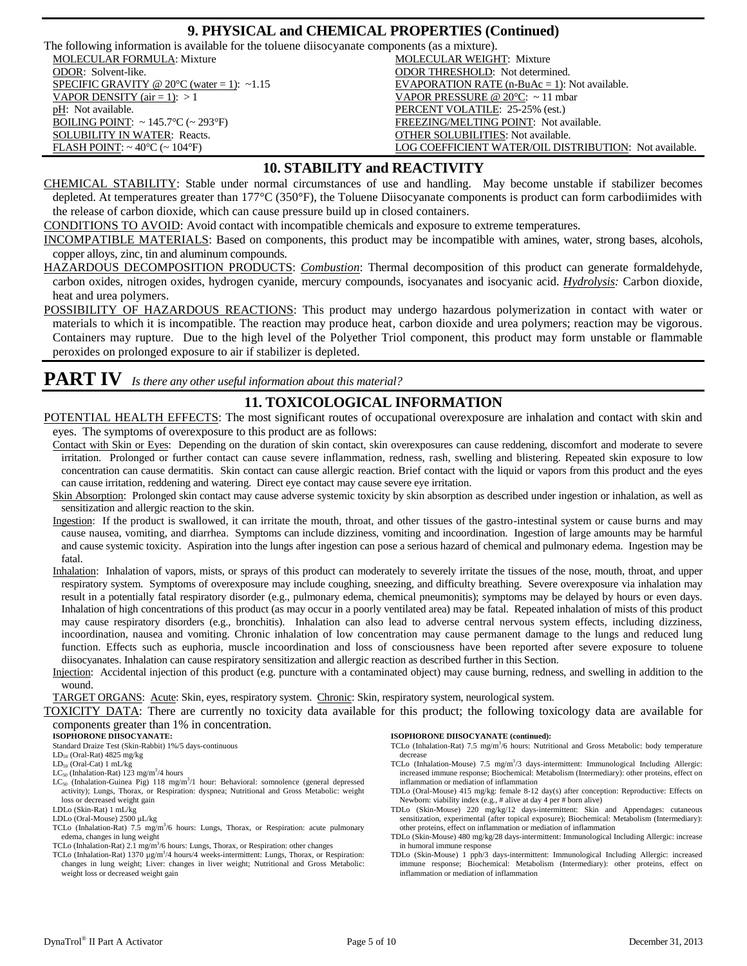### **9. PHYSICAL and CHEMICAL PROPERTIES (Continued)**

The following information is available for the toluene diisocyanate components (as a mixture).

pH: Not available. **PERCENT VOLATILE:** 25-25% (est.)

**MOLECULAR FORMULA:** Mixture MOLECULAR WEIGHT: Mixture ODOR: Solvent-like. ODOR THRESHOLD: Not determined. SPECIFIC GRAVITY @  $20^{\circ}$ C (water = 1): ~1.15 EVAPORATION RATE (n-BuAc = 1): Not available. VAPOR DENSITY (air = 1):  $>1$  VAPOR PRESSURE @ 20°C: ~11 mbar BOILING POINT: ~145.7°C (~293°F) FREEZING/MELTING POINT: Not available. SOLUBILITY IN WATER: Reacts. The COLUBILITY IN WATER: Reacts. FLASH POINT: ~ 40°C (~ 104°F) LOG COEFFICIENT WATER/OIL DISTRIBUTION: Not available.

### **10. STABILITY and REACTIVITY**

CHEMICAL STABILITY: Stable under normal circumstances of use and handling. May become unstable if stabilizer becomes depleted. At temperatures greater than 177°C (350°F), the Toluene Diisocyanate components is product can form carbodiimides with the release of carbon dioxide, which can cause pressure build up in closed containers.

CONDITIONS TO AVOID: Avoid contact with incompatible chemicals and exposure to extreme temperatures.

INCOMPATIBLE MATERIALS: Based on components, this product may be incompatible with amines, water, strong bases, alcohols, copper alloys, zinc, tin and aluminum compounds.

- HAZARDOUS DECOMPOSITION PRODUCTS: *Combustion*: Thermal decomposition of this product can generate formaldehyde, carbon oxides, nitrogen oxides, hydrogen cyanide, mercury compounds, isocyanates and isocyanic acid. *Hydrolysis:* Carbon dioxide, heat and urea polymers.
- POSSIBILITY OF HAZARDOUS REACTIONS: This product may undergo hazardous polymerization in contact with water or materials to which it is incompatible. The reaction may produce heat, carbon dioxide and urea polymers; reaction may be vigorous. Containers may rupture. Due to the high level of the Polyether Triol component, this product may form unstable or flammable peroxides on prolonged exposure to air if stabilizer is depleted.

### **PART IV** *Is there any other useful information about this material?*

# **11. TOXICOLOGICAL INFORMATION**

- POTENTIAL HEALTH EFFECTS: The most significant routes of occupational overexposure are inhalation and contact with skin and eyes. The symptoms of overexposure to this product are as follows:
- Contact with Skin or Eyes: Depending on the duration of skin contact, skin overexposures can cause reddening, discomfort and moderate to severe irritation. Prolonged or further contact can cause severe inflammation, redness, rash, swelling and blistering. Repeated skin exposure to low concentration can cause dermatitis. Skin contact can cause allergic reaction. Brief contact with the liquid or vapors from this product and the eyes can cause irritation, reddening and watering. Direct eye contact may cause severe eye irritation.
- Skin Absorption: Prolonged skin contact may cause adverse systemic toxicity by skin absorption as described under ingestion or inhalation, as well as sensitization and allergic reaction to the skin.
- Ingestion: If the product is swallowed, it can irritate the mouth, throat, and other tissues of the gastro-intestinal system or cause burns and may cause nausea, vomiting, and diarrhea. Symptoms can include dizziness, vomiting and incoordination. Ingestion of large amounts may be harmful and cause systemic toxicity. Aspiration into the lungs after ingestion can pose a serious hazard of chemical and pulmonary edema. Ingestion may be fatal.
- Inhalation: Inhalation of vapors, mists, or sprays of this product can moderately to severely irritate the tissues of the nose, mouth, throat, and upper respiratory system. Symptoms of overexposure may include coughing, sneezing, and difficulty breathing. Severe overexposure via inhalation may result in a potentially fatal respiratory disorder (e.g., pulmonary edema, chemical pneumonitis); symptoms may be delayed by hours or even days. Inhalation of high concentrations of this product (as may occur in a poorly ventilated area) may be fatal. Repeated inhalation of mists of this product may cause respiratory disorders (e.g., bronchitis). Inhalation can also lead to adverse central nervous system effects, including dizziness, incoordination, nausea and vomiting. Chronic inhalation of low concentration may cause permanent damage to the lungs and reduced lung function. Effects such as euphoria, muscle incoordination and loss of consciousness have been reported after severe exposure to toluene diisocyanates. Inhalation can cause respiratory sensitization and allergic reaction as described further in this Section.
- Injection: Accidental injection of this product (e.g. puncture with a contaminated object) may cause burning, redness, and swelling in addition to the wound.

TARGET ORGANS: Acute: Skin, eyes, respiratory system. Chronic: Skin, respiratory system, neurological system.

TOXICITY DATA: There are currently no toxicity data available for this product; the following toxicology data are available for components greater than 1% in concentration.

#### **ISOPHORONE DIISOCYANATE:**

- Standard Draize Test (Skin-Rabbit) 1%/5 days-continuous
- $LD_{50}$  (Oral-Rat) 4825 mg/kg LD<sup>50</sup> (Oral-Cat) 1 mL/kg
- 
- $LC_{50}$  (Inhalation-Rat) 123 mg/m<sup>3</sup>/4 hours
- LC<sub>50</sub> (Inhalation-Guinea Pig) 118 mg/m<sup>3</sup>/1 hour: Behavioral: somnolence (general depressed activity); Lungs, Thorax, or Respiration: dyspnea; Nutritional and Gross Metabolic: weight loss or decreased weight gain
- LDLo (Skin-Rat) 1 mL/kg LDLo (Oral-Mouse) 2500 µL/kg
- 
- TCLo (Inhalation-Rat)  $7.5 \text{ mg/m}^3/6$  hours: Lungs, Thorax, or Respiration: acute pulmonary edema, changes in lung weight
- TCLo (Inhalation-Rat) 2.1 mg/m<sup>3</sup>/6 hours: Lungs, Thorax, or Respiration: other changes
- TCLo (Inhalation-Rat) 1370  $\mu$ g/m<sup>3</sup>/4 hours/4 weeks-intermittent: Lungs, Thorax, or Respiration: changes in lung weight; Liver: changes in liver weight; Nutritional and Gross Metabolic: weight loss or decreased weight gain

#### **ISOPHORONE DIISOCYANATE (continued):**

- TCLo (Inhalation-Rat) 7.5 mg/m<sup>3</sup>/6 hours: Nutritional and Gross Metabolic: body temperature decrease
- TCLo (Inhalation-Mouse) 7.5 mg/m<sup>3</sup>/3 days-intermittent: Immunological Including Allergic: increased immune response; Biochemical: Metabolism (Intermediary): other proteins, effect on inflammation or mediation of inflammation
- TDLo (Oral-Mouse) 415 mg/kg: female 8-12 day(s) after conception: Reproductive: Effects on Newborn: viability index (e.g., # alive at day 4 per # born alive)
- TDLo (Skin-Mouse) 220 mg/kg/12 days-intermittent: Skin and Appendages: cutaneous sensitization, experimental (after topical exposure); Biochemical: Metabolism (Intermediary): other proteins, effect on inflammation or mediation of inflammation
- TDLo (Skin-Mouse) 480 mg/kg/28 days-intermittent: Immunological Including Allergic: increase in humoral immune response
- TDLo (Skin-Mouse) 1 pph/3 days-intermittent: Immunological Including Allergic: increased immune response; Biochemical: Metabolism (Intermediary): other proteins, effect on inflammation or mediation of inflammation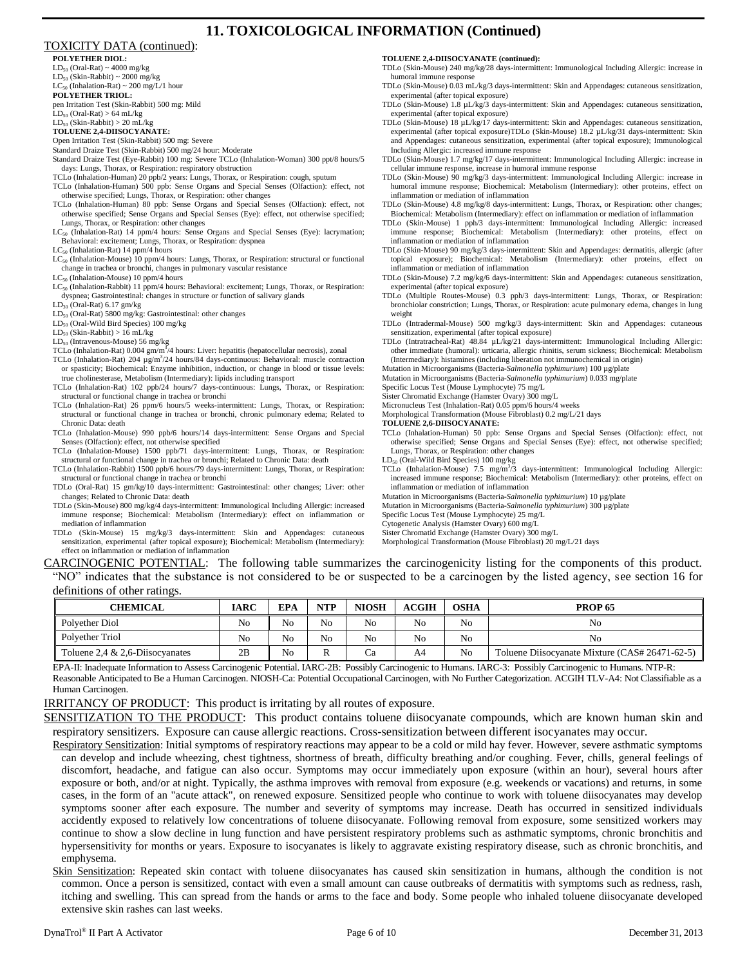# **11. TOXICOLOGICAL INFORMATION (Continued)**

#### TOXICITY DATA (continued):

**POLYETHER DIOL:**

 $LD_{50}$  (Oral-Rat) ~ 4000 mg/kg  $LD_{50}$  (Skin-Rabbit) ~ 2000 mg/kg  $LC_{50}$  (Inhalation-Rat) ~ 200 mg/L/1 hour

**POLYETHER TRIOL:**

pen Irritation Test (Skin-Rabbit) 500 mg: Mild  $LD_{50}$  (Oral-Rat) > 64 mL/kg

 $LD_{50}$  (Skin-Rabbit) > 20 mL/kg

**TOLUENE 2,4-DIISOCYANATE:**

Open Irritation Test (Skin-Rabbit) 500 mg: Severe

Standard Draize Test (Skin-Rabbit) 500 mg/24 hour: Moderate Standard Draize Test (Eye-Rabbit) 100 mg: Severe TCLo (Inhalation-Woman) 300 ppt/8 hours/5

days: Lungs, Thorax, or Respiration: respiratory obstruction TCLo (Inhalation-Human) 20 ppb/2 years: Lungs, Thorax, or Respiration: cough, sputum

TCLo (Inhalation-Human) 500 ppb: Sense Organs and Special Senses (Olfaction): effect, not otherwise specified; Lungs, Thorax, or Respiration: other changes

TCLo (Inhalation-Human) 80 ppb: Sense Organs and Special Senses (Olfaction): effect, not otherwise specified; Sense Organs and Special Senses (Eye): effect, not otherwise specified; Lungs, Thorax, or Respiration: other changes

LC<sub>50</sub> (Inhalation-Rat) 14 ppm/4 hours: Sense Organs and Special Senses (Eye): lacrymation; Behavioral: excitement; Lungs, Thorax, or Respiration: dyspnea

 $LC_{50}$  (Inhalation-Rat) 14 ppm/4 hours

LC<sub>50</sub> (Inhalation-Mouse) 10 ppm/4 hours: Lungs, Thorax, or Respiration: structural or functional change in trachea or bronchi, changes in pulmonary vascular resistance

 $LC_{50}$  (Inhalation-Mouse) 10 ppm/4 hours

LC<sub>50</sub> (Inhalation-Rabbit) 11 ppm/4 hours: Behavioral: excitement; Lungs, Thorax, or Respiration: dyspnea; Gastrointestinal: changes in structure or function of salivary glands

LD<sup>30</sup> (Oral-Rat) 6.17 gm/kg

LD<sup>50</sup> (Oral-Rat) 5800 mg/kg: Gastrointestinal: other changes

LD<sup>50</sup> (Oral-Wild Bird Species) 100 mg/kg

 $LD_{50}$  (Skin-Rabbit) > 16 mL/kg

LD<sub>50</sub> (Intravenous-Mouse) 56 mg/kg

TCLo (Inhalation-Rat) 0.004 gm/m<sup>3</sup>/4 hours: Liver: hepatitis (hepatocellular necrosis), zonal

- TCLo (Inhalation-Rat) 204 µg/m<sup>3</sup>/24 hours/84 days-continuous: Behavioral: muscle contraction or spasticity; Biochemical: Enzyme inhibition, induction, or change in blood or tissue levels: true cholinesterase, Metabolism (Intermediary): lipids including transport
- TCLo (Inhalation-Rat) 102 ppb/24 hours/7 days-continuous: Lungs, Thorax, or Respiration: structural or functional change in trachea or bronchi
- TCLo (Inhalation-Rat) 26 ppm/6 hours/5 weeks-intermittent: Lungs, Thorax, or Respiration: structural or functional change in trachea or bronchi, chronic pulmonary edema; Related to Chronic Data: death
- TCLo (Inhalation-Mouse) 990 ppb/6 hours/14 days-intermittent: Sense Organs and Special Senses (Olfaction): effect, not otherwise specified
- TCLo (Inhalation-Mouse) 1500 ppb/71 days-intermittent: Lungs, Thorax, or Respiration: structural or functional change in trachea or bronchi; Related to Chronic Data: death
- TCLo (Inhalation-Rabbit) 1500 ppb/6 hours/79 days-intermittent: Lungs, Thorax, or Respiration: structural or functional change in trachea or bronchi
- TDLo (Oral-Rat) 15 gm/kg/10 days-intermittent: Gastrointestinal: other changes; Liver: other changes; Related to Chronic Data: death
- TDLo (Skin-Mouse) 800 mg/kg/4 days-intermittent: Immunological Including Allergic: increased immune response; Biochemical: Metabolism (Intermediary): effect on inflammation or mediation of inflammation
- TDLo (Skin-Mouse) 15 mg/kg/3 days-intermittent: Skin and Appendages: cutaneous sensitization, experimental (after topical exposure); Biochemical: Metabolism (Intermediary): effect on inflammation or mediation of inflammation

**TOLUENE 2,4-DIISOCYANATE (continued):**

TDLo (Skin-Mouse) 240 mg/kg/28 days-intermittent: Immunological Including Allergic: increase in humoral immune response

TDLo (Skin-Mouse) 0.03 mL/kg/3 days-intermittent: Skin and Appendages: cutaneous sensitization, experimental (after topical exposure)

TDLo (Skin-Mouse) 1.8 µL/kg/3 days-intermittent: Skin and Appendages: cutaneous sensitization, experimental (after topical exposure)

TDLo (Skin-Mouse) 18 µL/kg/17 days-intermittent: Skin and Appendages: cutaneous sensitization, experimental (after topical exposure)TDLo (Skin-Mouse) 18.2 µL/kg/31 days-intermittent: Skin and Appendages: cutaneous sensitization, experimental (after topical exposure); Immunological Including Allergic: increased immune response

TDLo (Skin-Mouse) 1.7 mg/kg/17 days-intermittent: Immunological Including Allergic: increase in cellular immune response, increase in humoral immune response

TDLo (Skin-Mouse) 90 mg/kg/3 days-intermittent: Immunological Including Allergic: increase in humoral immune response; Biochemical: Metabolism (Intermediary): other proteins, effect on inflammation or mediation of inflammation

TDLo (Skin-Mouse) 4.8 mg/kg/8 days-intermittent: Lungs, Thorax, or Respiration: other changes; Biochemical: Metabolism (Intermediary): effect on inflammation or mediation of inflammation

TDLo (Skin-Mouse) 1 pph/3 days-intermittent: Immunological Including Allergic: increased immune response; Biochemical: Metabolism (Intermediary): other proteins, effect on inflammation or mediation of inflammation

TDLo (Skin-Mouse) 90 mg/kg/3 days-intermittent: Skin and Appendages: dermatitis, allergic (after topical exposure); Biochemical: Metabolism (Intermediary): other proteins, effect on inflammation or mediation of inflammation

TDLo (Skin-Mouse) 7.2 mg/kg/6 days-intermittent: Skin and Appendages: cutaneous sensitization, experimental (after topical exposure)

TDLo (Multiple Routes-Mouse) 0.3 pph/3 days-intermittent: Lungs, Thorax, or Respiration: bronchiolar constriction; Lungs, Thorax, or Respiration: acute pulmonary edema, changes in lung weight

TDLo (Intradermal-Mouse) 500 mg/kg/3 days-intermittent: Skin and Appendages: cutaneous sensitization, experimental (after topical exposure)

TDLo (Intratracheal-Rat) 48.84 µL/kg/21 days-intermittent: Immunological Including Allergic: other immediate (humoral): urticaria, allergic rhinitis, serum sickness; Biochemical: Metabolism (Intermediary): histamines (including liberation not immunochemical in origin)

Mutation in Microorganisms (Bacteria-*Salmonella typhimurium*) 100 µg/plate

Mutation in Microorganisms (Bacteria-*Salmonella typhimurium*) 0.033 mg/plate

Specific Locus Test (Mouse Lymphocyte) 75 mg/L

Sister Chromatid Exchange (Hamster Ovary) 300 mg/L

Micronucleus Test (Inhalation-Rat) 0.05 ppm/6 hours/4 weeks

Morphological Transformation (Mouse Fibroblast) 0.2 mg/L/21 days

**TOLUENE 2,6-DIISOCYANATE:**

TCLo (Inhalation-Human) 50 ppb: Sense Organs and Special Senses (Olfaction): effect, not otherwise specified; Sense Organs and Special Senses (Eye): effect, not otherwise specified; Lungs, Thorax, or Respiration: other changes

LD<sub>50</sub> (Oral-Wild Bird Species) 100 mg/kg

TCLo (Inhalation-Mouse) 7.5 mg/m<sup>3</sup>/3 days-intermittent: Immunological Including Allergic: increased immune response; Biochemical: Metabolism (Intermediary): other proteins, effect on inflammation or mediation of inflammation

Mutation in Microorganisms (Bacteria-*Salmonella typhimurium*) 10 µg/plate

Mutation in Microorganisms (Bacteria-*Salmonella typhimurium*) 300 µg/plate

Specific Locus Test (Mouse Lymphocyte) 25 mg/L

Cytogenetic Analysis (Hamster Ovary) 600 mg/L

Sister Chromatid Exchange (Hamster Ovary) 300 mg/L Morphological Transformation (Mouse Fibroblast) 20 mg/L/21 days

CARCINOGENIC POTENTIAL: The following table summarizes the carcinogenicity listing for the components of this product. "NO" indicates that the substance is not considered to be or suspected to be a carcinogen by the listed agency, see section 16 for definitions of other ratings.

| <b>CHEMICAL</b>                    | IARC | EPA | <b>NTP</b>     | <b>NIOSH</b> | <b>ACGIH</b> | <b>OSHA</b> | <b>PROP 65</b>                                 |
|------------------------------------|------|-----|----------------|--------------|--------------|-------------|------------------------------------------------|
| Polyether Diol                     | No   | No  | N <sub>o</sub> | No           | No           | No          | No                                             |
| Polvether Triol                    | No   | No  | N <sub>o</sub> | No           | No           | No          | No                                             |
| Toluene 2.4 $& 2.6$ -Diisocyanates | 2B   | No  | ĸ              |              | A4           | No          | Toluene Diisocyanate Mixture (CAS# 26471-62-5) |

EPA-II: Inadequate Information to Assess Carcinogenic Potential. IARC-2B: Possibly Carcinogenic to Humans. IARC-3: Possibly Carcinogenic to Humans. NTP-R: Reasonable Anticipated to Be a Human Carcinogen. NIOSH-Ca: Potential Occupational Carcinogen, with No Further Categorization. ACGIH TLV-A4: Not Classifiable as a Human Carcinogen.

IRRITANCY OF PRODUCT: This product is irritating by all routes of exposure.

SENSITIZATION TO THE PRODUCT: This product contains toluene diisocyanate compounds, which are known human skin and respiratory sensitizers. Exposure can cause allergic reactions. Cross-sensitization between different isocyanates may occur.

Respiratory Sensitization: Initial symptoms of respiratory reactions may appear to be a cold or mild hay fever. However, severe asthmatic symptoms can develop and include wheezing, chest tightness, shortness of breath, difficulty breathing and/or coughing. Fever, chills, general feelings of discomfort, headache, and fatigue can also occur. Symptoms may occur immediately upon exposure (within an hour), several hours after exposure or both, and/or at night. Typically, the asthma improves with removal from exposure (e.g. weekends or vacations) and returns, in some cases, in the form of an "acute attack", on renewed exposure. Sensitized people who continue to work with toluene diisocyanates may develop symptoms sooner after each exposure. The number and severity of symptoms may increase. Death has occurred in sensitized individuals accidently exposed to relatively low concentrations of toluene diisocyanate. Following removal from exposure, some sensitized workers may continue to show a slow decline in lung function and have persistent respiratory problems such as asthmatic symptoms, chronic bronchitis and hypersensitivity for months or years. Exposure to isocyanates is likely to aggravate existing respiratory disease, such as chronic bronchitis, and emphysema.

Skin Sensitization: Repeated skin contact with toluene diisocyanates has caused skin sensitization in humans, although the condition is not common. Once a person is sensitized, contact with even a small amount can cause outbreaks of dermatitis with symptoms such as redness, rash, itching and swelling. This can spread from the hands or arms to the face and body. Some people who inhaled toluene diisocyanate developed extensive skin rashes can last weeks.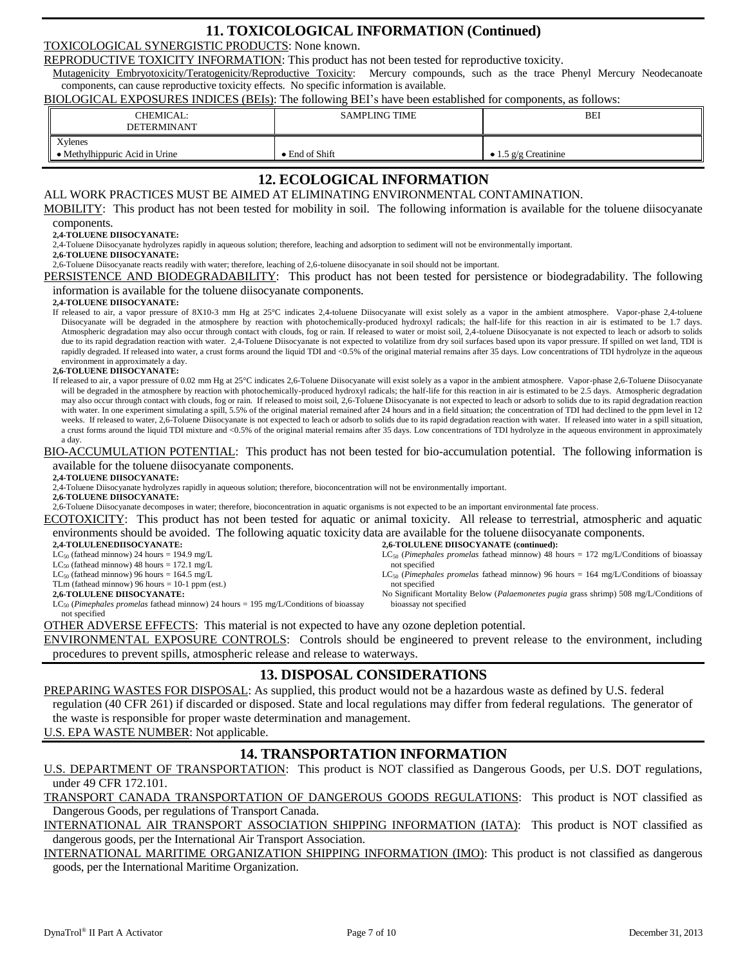# **11. TOXICOLOGICAL INFORMATION (Continued)**

TOXICOLOGICAL SYNERGISTIC PRODUCTS: None known.

REPRODUCTIVE TOXICITY INFORMATION: This product has not been tested for reproductive toxicity.

Mutagenicity Embryotoxicity/Teratogenicity/Reproductive Toxicity: Mercury compounds, such as the trace Phenyl Mercury Neodecanoate components, can cause reproductive toxicity effects. No specific information is available.

BIOLOGICAL EXPOSURES INDICES (BEIs): The following BEI's have been established for components, as follows:

| CHEMICAL:<br><b>DETERMINANT</b>           | <b>SAMPLING TIME</b> | BEI                    |
|-------------------------------------------|----------------------|------------------------|
| Xylenes<br>• Methylhippuric Acid in Urine | • End of Shift       | • 1.5 $g/g$ Creatinine |

# **12. ECOLOGICAL INFORMATION**

#### ALL WORK PRACTICES MUST BE AIMED AT ELIMINATING ENVIRONMENTAL CONTAMINATION.

MOBILITY: This product has not been tested for mobility in soil. The following information is available for the toluene diisocyanate components.

#### **2,4-TOLUENE DIISOCYANATE:**

2,4-Toluene Diisocyanate hydrolyzes rapidly in aqueous solution; therefore, leaching and adsorption to sediment will not be environmentally important.

**2,6-TOLUENE DIISOCYANATE:**

2,6-Toluene Diisocyanate reacts readily with water; therefore, leaching of 2,6-toluene diisocyanate in soil should not be important.

PERSISTENCE AND BIODEGRADABILITY: This product has not been tested for persistence or biodegradability. The following information is available for the toluene diisocyanate components.

#### **2,4-TOLUENE DIISOCYANATE:**

If released to air, a vapor pressure of 8X10-3 mm Hg at 25°C indicates 2,4-toluene Diisocyanate will exist solely as a vapor in the ambient atmosphere. Vapor-phase 2,4-toluene Diisocyanate will be degraded in the atmosphere by reaction with photochemically-produced hydroxyl radicals; the half-life for this reaction in air is estimated to be 1.7 days. Atmospheric degradation may also occur through contact with clouds, fog or rain. If released to water or moist soil, 2,4-toluene Diisocyanate is not expected to leach or adsorb to solids due to its rapid degradation reaction with water. 2,4-Toluene Diisocyanate is not expected to volatilize from dry soil surfaces based upon its vapor pressure. If spilled on wet land, TDI is rapidly degraded. If released into water, a crust forms around the liquid TDI and <0.5% of the original material remains after 35 days. Low concentrations of TDI hydrolyze in the aqueous environment in approximately a day.

#### **2,6-TOLUENE DIISOCYANATE:**

If released to air, a vapor pressure of 0.02 mm Hg at 25°C indicates 2,6-Toluene Diisocyanate will exist solely as a vapor in the ambient atmosphere. Vapor-phase 2,6-Toluene Diisocyanate will be degraded in the atmosphere by reaction with photochemically-produced hydroxyl radicals; the half-life for this reaction in air is estimated to be 2.5 days. Atmospheric degradation may also occur through contact with clouds, fog or rain. If released to moist soil, 2,6-Toluene Diisocyanate is not expected to leach or adsorb to solids due to its rapid degradation reaction with water. In one experiment simulating a spill, 5.5% of the original material remained after 24 hours and in a field situation; the concentration of TDI had declined to the ppm level in 12 weeks. If released to water, 2,6-Toluene Diisocyanate is not expected to leach or adsorb to solids due to its rapid degradation reaction with water. If released into water in a spill situation, a crust forms around the liquid TDI mixture and <0.5% of the original material remains after 35 days. Low concentrations of TDI hydrolyze in the aqueous environment in approximately a day.

#### BIO-ACCUMULATION POTENTIAL: This product has not been tested for bio-accumulation potential. The following information is available for the toluene diisocyanate components.

**2,4-TOLUENE DIISOCYANATE:**

- 2,4-Toluene Diisocyanate hydrolyzes rapidly in aqueous solution; therefore, bioconcentration will not be environmentally important.
- **2,6-TOLUENE DIISOCYANATE:**
- 2,6-Toluene Diisocyanate decomposes in water; therefore, bioconcentration in aquatic organisms is not expected to be an important environmental fate process.

ECOTOXICITY: This product has not been tested for aquatic or animal toxicity. All release to terrestrial, atmospheric and aquatic environments should be avoided. The following aquatic toxicity data are available for the toluene diisocyanate components. **2,6-TOLULENE DIISOCYANATE (continued):**

not specified

bioassay not specified

LC<sup>50</sup> (*Pimephales promelas* fathead minnow) 96 hours = 164 mg/L/Conditions of bioassay

No Significant Mortality Below (*Palaemonetes pugia* grass shrimp) 508 mg/L/Conditions of

**2,4-TOLULENEDIISOCYANATE:**

 $LC_{50}$  (fathead minnow) 24 hours = 194.9 mg/L  $LC_{50}$  (fathead minnow) 48 hours = 172.1 mg/L LC<sup>50</sup> (*Pimephales promelas* fathead minnow) 48 hours = 172 mg/L/Conditions of bioassay not specified

 $LC_{50}$  (fathead minnow) 96 hours = 164.5 mg/L

TLm (fathead minnow) 96 hours = 10-1 ppm (est.)

**2,6-TOLULENE DIISOCYANATE:**

LC<sup>50</sup> (*Pimephales promelas* fathead minnow) 24 hours = 195 mg/L/Conditions of bioassay not specified

OTHER ADVERSE EFFECTS: This material is not expected to have any ozone depletion potential.

ENVIRONMENTAL EXPOSURE CONTROLS: Controls should be engineered to prevent release to the environment, including procedures to prevent spills, atmospheric release and release to waterways.

### **13. DISPOSAL CONSIDERATIONS**

PREPARING WASTES FOR DISPOSAL: As supplied, this product would not be a hazardous waste as defined by U.S. federal regulation (40 CFR 261) if discarded or disposed. State and local regulations may differ from federal regulations. The generator of the waste is responsible for proper waste determination and management.

U.S. EPA WASTE NUMBER: Not applicable.

## **14. TRANSPORTATION INFORMATION**

U.S. DEPARTMENT OF TRANSPORTATION: This product is NOT classified as Dangerous Goods, per U.S. DOT regulations, under 49 CFR 172.101.

TRANSPORT CANADA TRANSPORTATION OF DANGEROUS GOODS REGULATIONS: This product is NOT classified as Dangerous Goods, per regulations of Transport Canada.

INTERNATIONAL AIR TRANSPORT ASSOCIATION SHIPPING INFORMATION (IATA): This product is NOT classified as dangerous goods, per the International Air Transport Association.

INTERNATIONAL MARITIME ORGANIZATION SHIPPING INFORMATION (IMO): This product is not classified as dangerous goods, per the International Maritime Organization.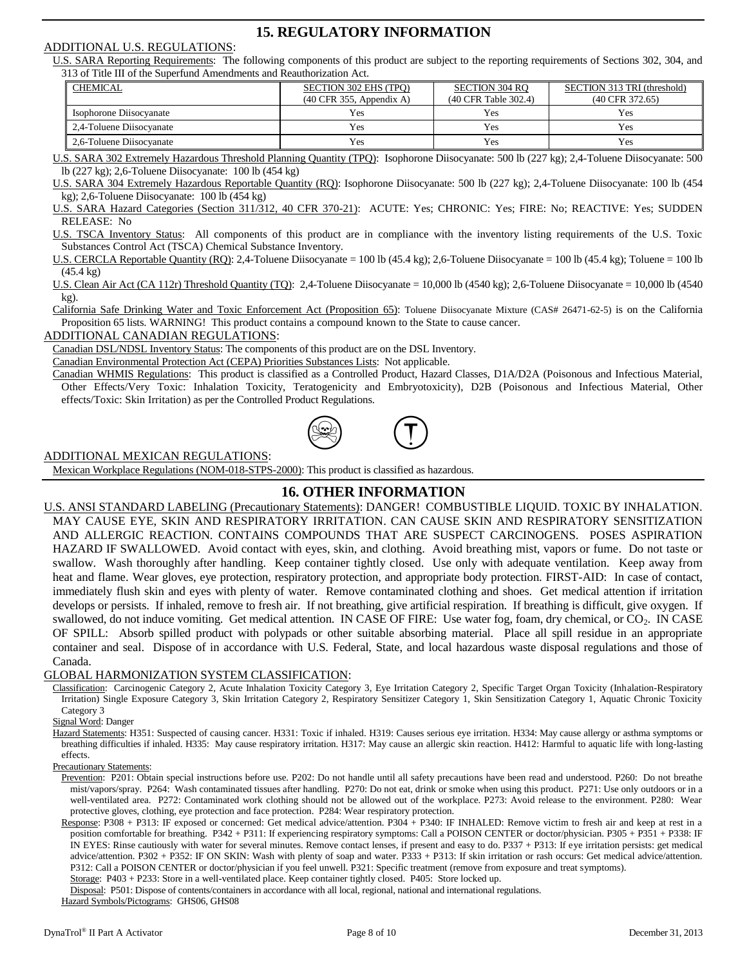## **15. REGULATORY INFORMATION**

#### ADDITIONAL U.S. REGULATIONS:

U.S. SARA Reporting Requirements: The following components of this product are subject to the reporting requirements of Sections 302, 304, and 313 of Title III of the Superfund Amendments and Reauthorization Act.

| <b>CHEMICAL</b>          | <b>SECTION 302 EHS (TPO)</b><br>$(40 \text{ CFR } 355, \text{ Appendix A})$ | <b>SECTION 304 RO</b><br>(40 CFR Table 302.4) | SECTION 313 TRI (threshold)<br>$(40$ CFR 372.65) |
|--------------------------|-----------------------------------------------------------------------------|-----------------------------------------------|--------------------------------------------------|
| Isophorone Diisocyanate  | Yes                                                                         | Yes                                           | Yes                                              |
| 2.4-Toluene Diisocvanate | Yes                                                                         | Yes                                           | Yes                                              |
| 2.6-Toluene Diisocvanate | Yes                                                                         | Yes                                           | Yes                                              |

U.S. SARA 302 Extremely Hazardous Threshold Planning Quantity (TPQ): Isophorone Diisocyanate: 500 lb (227 kg); 2,4-Toluene Diisocyanate: 500 lb (227 kg); 2,6-Toluene Diisocyanate: 100 lb (454 kg)

U.S. SARA 304 Extremely Hazardous Reportable Quantity (RQ): Isophorone Diisocyanate: 500 lb (227 kg); 2,4-Toluene Diisocyanate: 100 lb (454 kg); 2,6-Toluene Diisocyanate: 100 lb (454 kg)

U.S. SARA Hazard Categories (Section 311/312, 40 CFR 370-21): ACUTE: Yes; CHRONIC: Yes; FIRE: No; REACTIVE: Yes; SUDDEN RELEASE: No

U.S. TSCA Inventory Status: All components of this product are in compliance with the inventory listing requirements of the U.S. Toxic Substances Control Act (TSCA) Chemical Substance Inventory.

U.S. CERCLA Reportable Quantity (RQ): 2,4-Toluene Diisocyanate = 100 lb (45.4 kg); 2,6-Toluene Diisocyanate = 100 lb (45.4 kg); Toluene = 100 lb (45.4 kg)

U.S. Clean Air Act (CA 112r) Threshold Quantity (TQ): 2,4-Toluene Diisocyanate = 10,000 lb (4540 kg); 2,6-Toluene Diisocyanate = 10,000 lb (4540 kg).

California Safe Drinking Water and Toxic Enforcement Act (Proposition 65): Toluene Diisocyanate Mixture (CAS# 26471-62-5) is on the California Proposition 65 lists. WARNING! This product contains a compound known to the State to cause cancer.

#### ADDITIONAL CANADIAN REGULATIONS:

Canadian DSL/NDSL Inventory Status: The components of this product are on the DSL Inventory.

Canadian Environmental Protection Act (CEPA) Priorities Substances Lists: Not applicable.

Canadian WHMIS Regulations: This product is classified as a Controlled Product, Hazard Classes, D1A/D2A (Poisonous and Infectious Material, Other Effects/Very Toxic: Inhalation Toxicity, Teratogenicity and Embryotoxicity), D2B (Poisonous and Infectious Material, Other effects/Toxic: Skin Irritation) as per the Controlled Product Regulations.



#### ADDITIONAL MEXICAN REGULATIONS:

Mexican Workplace Regulations (NOM-018-STPS-2000): This product is classified as hazardous.

### **16. OTHER INFORMATION**

U.S. ANSI STANDARD LABELING (Precautionary Statements): DANGER! COMBUSTIBLE LIQUID. TOXIC BY INHALATION. MAY CAUSE EYE, SKIN AND RESPIRATORY IRRITATION. CAN CAUSE SKIN AND RESPIRATORY SENSITIZATION AND ALLERGIC REACTION. CONTAINS COMPOUNDS THAT ARE SUSPECT CARCINOGENS. POSES ASPIRATION HAZARD IF SWALLOWED. Avoid contact with eyes, skin, and clothing. Avoid breathing mist, vapors or fume. Do not taste or swallow. Wash thoroughly after handling. Keep container tightly closed. Use only with adequate ventilation. Keep away from heat and flame. Wear gloves, eye protection, respiratory protection, and appropriate body protection. FIRST-AID: In case of contact, immediately flush skin and eyes with plenty of water. Remove contaminated clothing and shoes. Get medical attention if irritation develops or persists. If inhaled, remove to fresh air. If not breathing, give artificial respiration. If breathing is difficult, give oxygen. If swallowed, do not induce vomiting. Get medical attention. IN CASE OF FIRE: Use water fog, foam, dry chemical, or CO<sub>2</sub>. IN CASE OF SPILL: Absorb spilled product with polypads or other suitable absorbing material. Place all spill residue in an appropriate container and seal. Dispose of in accordance with U.S. Federal, State, and local hazardous waste disposal regulations and those of Canada.

#### GLOBAL HARMONIZATION SYSTEM CLASSIFICATION:

Classification: Carcinogenic Category 2, Acute Inhalation Toxicity Category 3, Eye Irritation Category 2, Specific Target Organ Toxicity (Inhalation-Respiratory Irritation) Single Exposure Category 3, Skin Irritation Category 2, Respiratory Sensitizer Category 1, Skin Sensitization Category 1, Aquatic Chronic Toxicity Category 3

Signal Word: Danger

Hazard Statements: H351: Suspected of causing cancer. H331: Toxic if inhaled. H319: Causes serious eye irritation. H334: May cause allergy or asthma symptoms or breathing difficulties if inhaled. H335: May cause respiratory irritation. H317: May cause an allergic skin reaction. H412: Harmful to aquatic life with long-lasting effects.

Precautionary Statements:

Prevention: P201: Obtain special instructions before use. P202: Do not handle until all safety precautions have been read and understood. P260: Do not breathe mist/vapors/spray. P264: Wash contaminated tissues after handling. P270: Do not eat, drink or smoke when using this product. P271: Use only outdoors or in a well-ventilated area. P272: Contaminated work clothing should not be allowed out of the workplace. P273: Avoid release to the environment. P280: Wear protective gloves, clothing, eye protection and face protection. P284: Wear respiratory protection.

Response: P308 + P313: IF exposed or concerned: Get medical advice/attention. P304 + P340: IF INHALED: Remove victim to fresh air and keep at rest in a position comfortable for breathing. P342 + P311: If experiencing respiratory symptoms: Call a POISON CENTER or doctor/physician. P305 + P351 + P338: IF IN EYES: Rinse cautiously with water for several minutes. Remove contact lenses, if present and easy to do. P337 + P313: If eye irritation persists: get medical advice/attention. P302 + P352: IF ON SKIN: Wash with plenty of soap and water. P333 + P313: If skin irritation or rash occurs: Get medical advice/attention. P312: Call a POISON CENTER or doctor/physician if you feel unwell. P321: Specific treatment (remove from exposure and treat symptoms). Storage: P403 + P233: Store in a well-ventilated place. Keep container tightly closed. P405: Store locked up.

Disposal: P501: Dispose of contents/containers in accordance with all local, regional, national and international regulations.

Hazard Symbols/Pictograms: GHS06, GHS08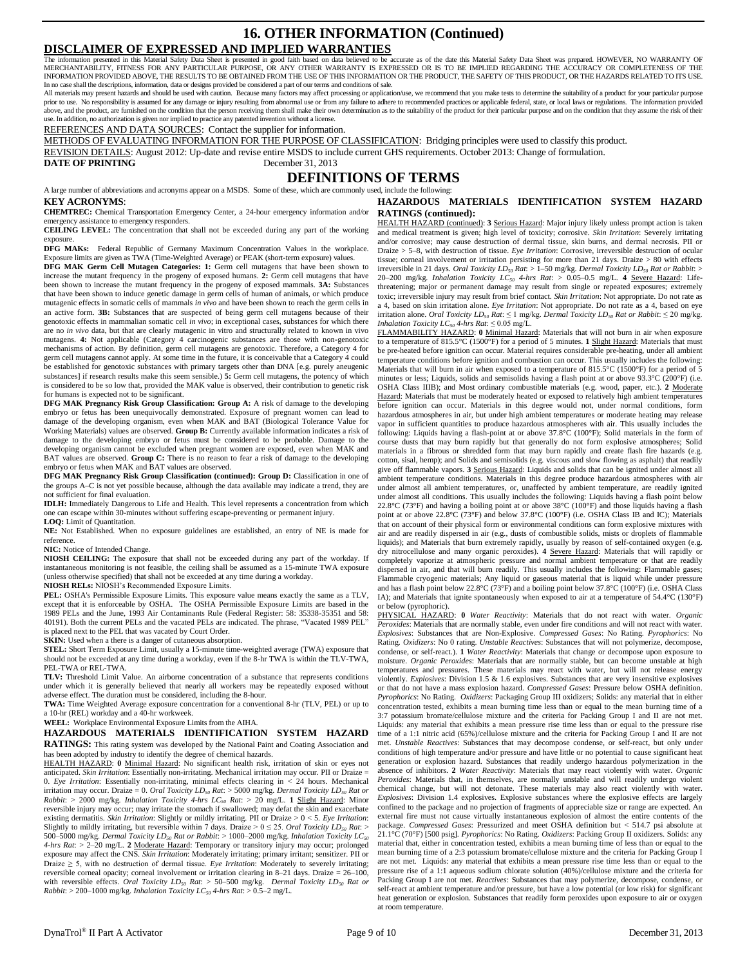#### **16. OTHER INFORMATION (Continued) DISCLAIMER OF EXPRESSED AND IMPLIED WARRANTIES**

The information presented in this Material Safety Data Sheet is presented in good faith based on data believed to be accurate as of the date this Material Safety Data Sheet was prepared. HOWEVER, NO WARRANTY OF<br>MERCHANTABI INFORMATION PROVIDED ABOVE, THE RESULTS TO BE OBTAINED FROM THE USE OF THIS INFORMATION OR THE PRODUCT, THE SAFETY OF THIS PRODUCT, OR THE HAZARDS RELATED TO ITS USE. In no case shall the descriptions, information, data or designs provided be considered a part of our terms and conditions of sale.<br>All materials may present hazards and should be used with caution. Because many factors may

prior to use. No responsibility is assumed for any damage or injury resulting from abnormal use or from any failure to adhere to recommended practices or applicable federal, state, or local laws or regulations. The informa use. In addition, no authorization is given nor implied to practice any patented invention without a license.

REFERENCES AND DATA SOURCES: Contact the supplier for information.

METHODS OF EVALUATING INFORMATION FOR THE PURPOSE OF CLASSIFICATION: Bridging principles were used to classify this product.

REVISION DETAILS: August 2012: Up-date and revise entire MSDS to include current GHS requirements. October 2013: Change of formulation.

**DATE OF PRINTING** December 31, 2013

### **DEFINITIONS OF TERMS**

A large number of abbreviations and acronyms appear on a MSDS. Some of these, which are commonly used, include the following: **KEY ACRONYMS**:

**CHEMTREC:** Chemical Transportation Emergency Center, a 24-hour emergency information and/or emergency assistance to emergency responders.

**CEILING LEVEL:** The concentration that shall not be exceeded during any part of the working exposure

**DFG MAKs:** Federal Republic of Germany Maximum Concentration Values in the workplace. Exposure limits are given as TWA (Time-Weighted Average) or PEAK (short-term exposure) values.

**DFG MAK Germ Cell Mutagen Categories: 1:** Germ cell mutagens that have been shown to increase the mutant frequency in the progeny of exposed humans. **2:** Germ cell mutagens that have been shown to increase the mutant frequency in the progeny of exposed mammals. **3A:** Substances that have been shown to induce genetic damage in germ cells of human of animals, or which produce mutagenic effects in somatic cells of mammals *in vivo* and have been shown to reach the germ cells in an active form. **3B:** Substances that are suspected of being germ cell mutagens because of their genotoxic effects in mammalian somatic cell *in vivo*; in exceptional cases, substances for which there are no *in vivo* data, but that are clearly mutagenic in vitro and structurally related to known in vivo mutagens. **4:** Not applicable (Category 4 carcinogenic substances are those with non-genotoxic mechanisms of action. By definition, germ cell mutagens are genotoxic. Therefore, a Category 4 for germ cell mutagens cannot apply. At some time in the future, it is conceivable that a Category 4 could be established for genotoxic substances with primary targets other than DNA [e.g. purely aneugenic substances] if research results make this seem sensible.) **5:** Germ cell mutagens, the potency of which is considered to be so low that, provided the MAK value is observed, their contribution to genetic risk for humans is expected not to be significant.

**DFG MAK Pregnancy Risk Group Classification: Group A:** A risk of damage to the developing embryo or fetus has been unequivocally demonstrated. Exposure of pregnant women can lead to damage of the developing organism, even when MAK and BAT (Biological Tolerance Value for Working Materials) values are observed. **Group B:** Currently available information indicates a risk of damage to the developing embryo or fetus must be considered to be probable. Damage to the developing organism cannot be excluded when pregnant women are exposed, even when MAK and BAT values are observed. **Group C:** There is no reason to fear a risk of damage to the developing embryo or fetus when MAK and BAT values are observed.

**DFG MAK Pregnancy Risk Group Classification (continued): Group D:** Classification in one of the groups A–C is not yet possible because, although the data available may indicate a trend, they are not sufficient for final evaluation.

**IDLH:** Immediately Dangerous to Life and Health. This level represents a concentration from which one can escape within 30-minutes without suffering escape-preventing or permanent injury.

**LOQ:** Limit of Quantitation.

**NE:** Not Established. When no exposure guidelines are established, an entry of NE is made for reference.

#### **NIC:** Notice of Intended Change.

**NIOSH CEILING:** The exposure that shall not be exceeded during any part of the workday. If instantaneous monitoring is not feasible, the ceiling shall be assumed as a 15-minute TWA exposure (unless otherwise specified) that shall not be exceeded at any time during a workday.

**NIOSH RELs:** NIOSH's Recommended Exposure Limits.

**PEL:** OSHA's Permissible Exposure Limits. This exposure value means exactly the same as a TLV, except that it is enforceable by OSHA. The OSHA Permissible Exposure Limits are based in the 1989 PELs and the June, 1993 Air Contaminants Rule (Federal Register: 58: 35338-35351 and 58: 40191). Both the current PELs and the vacated PELs are indicated. The phrase, "Vacated 1989 PEL" is placed next to the PEL that was vacated by Court Order.

**SKIN:** Used when a there is a danger of cutaneous absorption.

**STEL:** Short Term Exposure Limit, usually a 15-minute time-weighted average (TWA) exposure that should not be exceeded at any time during a workday, even if the 8-hr TWA is within the TLV-TWA, PEL-TWA or REL-TWA.

**TLV:** Threshold Limit Value. An airborne concentration of a substance that represents conditions under which it is generally believed that nearly all workers may be repeatedly exposed without adverse effect. The duration must be considered, including the 8-hour.

**TWA:** Time Weighted Average exposure concentration for a conventional 8-hr (TLV, PEL) or up to a 10-hr (REL) workday and a 40-hr workweek.

**WEEL:** Workplace Environmental Exposure Limits from the AIHA.

#### **HAZARDOUS MATERIALS IDENTIFICATION SYSTEM HAZARD RATINGS:** This rating system was developed by the National Paint and Coating Association and

has been adopted by industry to identify the degree of chemical hazards. HEALTH HAZARD: **0** Minimal Hazard: No significant health risk, irritation of skin or eyes not anticipated. *Skin Irritation*: Essentially non-irritating. Mechanical irritation may occur. PII or Draize =

0. *Eye Irritation*: Essentially non-irritating, minimal effects clearing in < 24 hours. Mechanical irritation may occur. Draize = 0. *Oral Toxicity LD<sup>50</sup> Rat*: > 5000 mg/kg. *Dermal Toxicity LD<sup>50</sup> Rat or Rabbit*: > 2000 mg/kg. *Inhalation Toxicity 4-hrs LC<sup>50</sup> Rat*: > 20 mg/L. **1** Slight Hazard: Minor reversible injury may occur; may irritate the stomach if swallowed; may defat the skin and exacerbate existing dermatitis. *Skin Irritation*: Slightly or mildly irritating. PII or Draize > 0 < 5. *Eye Irritation*: Slightly to mildly irritating, but reversible within 7 days. Draize >  $0 \le 25$ . *Oral Toxicity LD*<sub>50</sub> *Rat*: > 500–5000 mg/kg. *Dermal Toxicity LD<sup>50</sup> Rat or Rabbit*: > 1000–2000 mg/kg. *Inhalation Toxicity LC<sup>50</sup> 4-hrs Rat*: > 2–20 mg/L. **2** Moderate Hazard: Temporary or transitory injury may occur; prolonged exposure may affect the CNS. *Skin Irritation*: Moderately irritating; primary irritant; sensitizer. PII or Draize  $\geq$  5, with no destruction of dermal tissue. *Eye Irritation*: Moderately to severely irritating; reversible corneal opacity; corneal involvement or irritation clearing in 8–21 days. Draize = 26–100, with reversible effects. *Oral Toxicity LD<sup>50</sup> Rat*: > 50–500 mg/kg. *Dermal Toxicity LD<sup>50</sup> Rat or Rabbit*: > 200–1000 mg/kg. *Inhalation Toxicity LC<sup>50</sup> 4-hrs Rat*: > 0.5–2 mg/L.

#### **HAZARDOUS MATERIALS IDENTIFICATION SYSTEM HAZARD RATINGS (continued):**

HEALTH HAZARD (continued): **3** Serious Hazard: Major injury likely unless prompt action is taken and medical treatment is given; high level of toxicity; corrosive. *Skin Irritation*: Severely irritating and/or corrosive; may cause destruction of dermal tissue, skin burns, and dermal necrosis. PII or Draize > 5–8, with destruction of tissue. *Eye Irritation*: Corrosive, irreversible destruction of ocular tissue; corneal involvement or irritation persisting for more than 21 days. Draize > 80 with effects irreversible in 21 days. *Oral Toxicity LD<sup>50</sup> Rat*: > 1–50 mg/kg. *Dermal Toxicity LD<sup>50</sup> Rat or Rabbit*: > 20–200 mg/kg. *Inhalation Toxicity LC*<sub>50</sub> *4-hrs Rat*: > 0.05–0.5 mg/L. 4 <u>Severe Hazard</u>: Life-<br>threatening; major or permanent damage may result from single or repeated exposures; extremely toxic; irreversible injury may result from brief contact. *Skin Irritation*: Not appropriate. Do not rate as a 4, based on skin irritation alone. *Eye Irritation*: Not appropriate. Do not rate as a 4, based on eye irritation alone. *Oral Toxicity LD<sup>50</sup> Rat*: ≤ 1 mg/kg. *Dermal Toxicity LD<sup>50</sup> Rat or Rabbit*: ≤ 20 mg/kg. *Inhalation Toxicity LC*<sub>50</sub>  $4$ -hrs Rat:  $\leq$  0.05 mg/L.

FLAMMABILITY HAZARD: **0** Minimal Hazard: Materials that will not burn in air when exposure to a temperature of 815.5°C (1500°F) for a period of 5 minutes. **1** Slight Hazard: Materials that must be pre-heated before ignition can occur. Material requires considerable pre-heating, under all ambient temperature conditions before ignition and combustion can occur. This usually includes the following: Materials that will burn in air when exposed to a temperature of 815.5°C (1500°F) for a period of 5 minutes or less; Liquids, solids and semisolids having a flash point at or above 93.3°C (200°F) (i.e. OSHA Class IIIB); and Most ordinary combustible materials (e.g. wood, paper, etc.). **2** Moderate Hazard: Materials that must be moderately heated or exposed to relatively high ambient temperatures before ignition can occur. Materials in this degree would not, under normal conditions, form hazardous atmospheres in air, but under high ambient temperatures or moderate heating may release vapor in sufficient quantities to produce hazardous atmospheres with air. This usually includes the following: Liquids having a flash-point at or above 37.8°C (100°F); Solid materials in the form of course dusts that may burn rapidly but that generally do not form explosive atmospheres; Solid materials in a fibrous or shredded form that may burn rapidly and create flash fire hazards (e.g. cotton, sisal, hemp); and Solids and semisolids (e.g. viscous and slow flowing as asphalt) that readily give off flammable vapors. **3** Serious Hazard: Liquids and solids that can be ignited under almost all ambient temperature conditions. Materials in this degree produce hazardous atmospheres with air under almost all ambient temperatures, or, unaffected by ambient temperature, are readily ignited under almost all conditions. This usually includes the following: Liquids having a flash point below 22.8°C (73°F) and having a boiling point at or above 38°C (100°F) and those liquids having a flash point at or above 22.8°C (73°F) and below 37.8°C (100°F) (i.e. OSHA Class IB and IC); Materials that on account of their physical form or environmental conditions can form explosive mixtures with air and are readily dispersed in air (e.g., dusts of combustible solids, mists or droplets of flammable liquids); and Materials that burn extremely rapidly, usually by reason of self-contained oxygen (e.g. dry nitrocellulose and many organic peroxides). **4** Severe Hazard: Materials that will rapidly or completely vaporize at atmospheric pressure and normal ambient temperature or that are readily dispersed in air, and that will burn readily. This usually includes the following: Flammable gases; Flammable cryogenic materials; Any liquid or gaseous material that is liquid while under pressure and has a flash point below 22.8°C (73°F) and a boiling point below 37.8°C (100°F) (i.e. OSHA Class IA); and Materials that ignite spontaneously when exposed to air at a temperature of 54.4°C (130°F) or below (pyrophoric).

PHYSICAL HAZARD: **0** *Water Reactivity*: Materials that do not react with water. *Organic Peroxides*: Materials that are normally stable, even under fire conditions and will not react with water. *Explosives*: Substances that are Non-Explosive. *Compressed Gases*: No Rating. *Pyrophorics*: No Rating. *Oxidizers*: No 0 rating. *Unstable Reactives*: Substances that will not polymerize, decompose, condense, or self-react.). **1** *Water Reactivity*: Materials that change or decompose upon exposure to moisture. *Organic Peroxides*: Materials that are normally stable, but can become unstable at high temperatures and pressures. These materials may react with water, but will not release energy violently. *Explosives*: Division 1.5 & 1.6 explosives. Substances that are very insensitive explosives or that do not have a mass explosion hazard. *Compressed Gases*: Pressure below OSHA definition. *Pyrophorics*: No Rating. *Oxidizers*: Packaging Group III oxidizers; Solids: any material that in either concentration tested, exhibits a mean burning time less than or equal to the mean burning time of a 3:7 potassium bromate/cellulose mixture and the criteria for Packing Group I and II are not met. Liquids: any material that exhibits a mean pressure rise time less than or equal to the pressure rise time of a 1:1 nitric acid (65%)/cellulose mixture and the criteria for Packing Group I and II are not met. *Unstable Reactives*: Substances that may decompose condense, or self-react, but only under conditions of high temperature and/or pressure and have little or no potential to cause significant heat generation or explosion hazard. Substances that readily undergo hazardous polymerization in the absence of inhibitors. **2** *Water Reactivity*: Materials that may react violently with water. *Organic Peroxides*: Materials that, in themselves, are normally unstable and will readily undergo violent chemical change, but will not detonate. These materials may also react violently with water. *Explosives*: Division 1.4 explosives. Explosive substances where the explosive effects are largely confined to the package and no projection of fragments of appreciable size or range are expected. An external fire must not cause virtually instantaneous explosion of almost the entire contents of the package. *Compressed Gases*: Pressurized and meet OSHA definition but < 514.7 psi absolute at 21.1°C (70°F) [500 psig]. *Pyrophorics*: No Rating. *Oxidizers*: Packing Group II oxidizers. Solids: any material that, either in concentration tested, exhibits a mean burning time of less than or equal to the mean burning time of a 2:3 potassium bromate/cellulose mixture and the criteria for Packing Group I are not met. Liquids: any material that exhibits a mean pressure rise time less than or equal to the pressure rise of a 1:1 aqueous sodium chlorate solution (40%)/cellulose mixture and the criteria for Packing Group I are not met. *Reactives*: Substances that may polymerize, decompose, condense, or self-react at ambient temperature and/or pressure, but have a low potential (or low risk) for significant heat generation or explosion. Substances that readily form peroxides upon exposure to air or oxygen at room temperature.